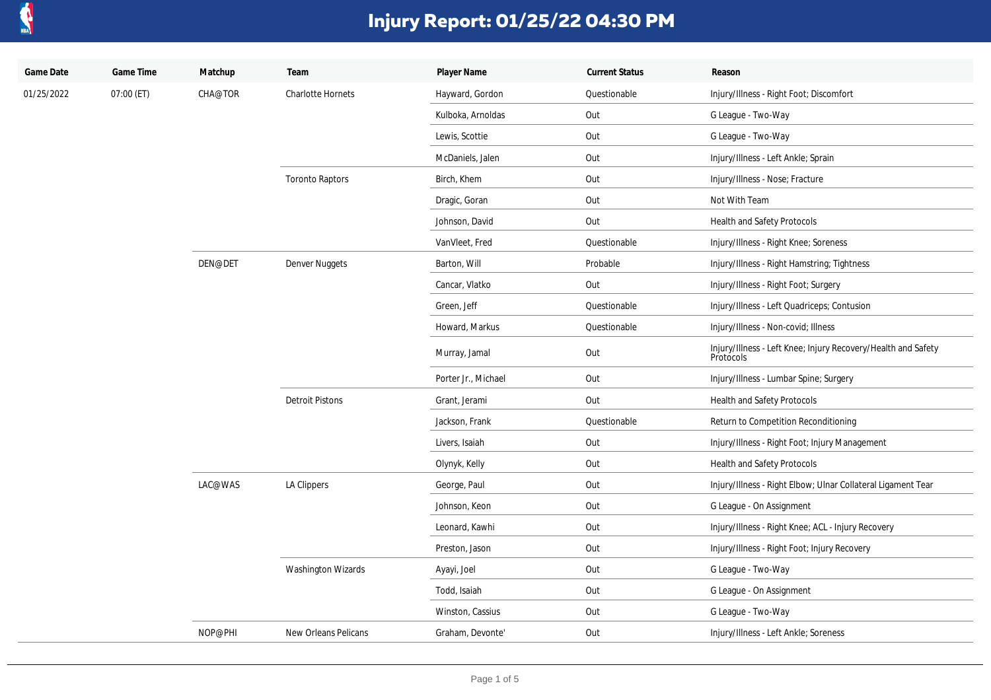

| Game Date  | Game Time  | Matchup | Team                     | Player Name         | <b>Current Status</b> | Reason                                                                     |
|------------|------------|---------|--------------------------|---------------------|-----------------------|----------------------------------------------------------------------------|
| 01/25/2022 | 07:00 (ET) | CHA@TOR | <b>Charlotte Hornets</b> | Hayward, Gordon     | Questionable          | Injury/Illness - Right Foot; Discomfort                                    |
|            |            |         |                          | Kulboka, Arnoldas   | Out                   | G League - Two-Way                                                         |
|            |            |         |                          | Lewis, Scottie      | Out                   | G League - Two-Way                                                         |
|            |            |         |                          | McDaniels, Jalen    | Out                   | Injury/Illness - Left Ankle; Sprain                                        |
|            |            |         | <b>Toronto Raptors</b>   | Birch, Khem         | Out                   | Injury/Illness - Nose; Fracture                                            |
|            |            |         |                          | Dragic, Goran       | Out                   | Not With Team                                                              |
|            |            |         |                          | Johnson, David      | Out                   | <b>Health and Safety Protocols</b>                                         |
|            |            |         |                          | VanVleet, Fred      | Questionable          | Injury/Illness - Right Knee; Soreness                                      |
|            |            | DEN@DET | Denver Nuggets           | Barton, Will        | Probable              | Injury/Illness - Right Hamstring; Tightness                                |
|            |            |         |                          | Cancar, Vlatko      | Out                   | Injury/Illness - Right Foot; Surgery                                       |
|            |            |         |                          | Green, Jeff         | Questionable          | Injury/Illness - Left Quadriceps; Contusion                                |
|            |            |         |                          | Howard, Markus      | Questionable          | Injury/Illness - Non-covid; Illness                                        |
|            |            |         |                          | Murray, Jamal       | Out                   | Injury/Illness - Left Knee; Injury Recovery/Health and Safety<br>Protocols |
|            |            |         |                          | Porter Jr., Michael | Out                   | Injury/Illness - Lumbar Spine; Surgery                                     |
|            |            |         | <b>Detroit Pistons</b>   | Grant, Jerami       | Out                   | Health and Safety Protocols                                                |
|            |            |         |                          | Jackson, Frank      | Questionable          | Return to Competition Reconditioning                                       |
|            |            |         |                          | Livers, Isaiah      | Out                   | Injury/Illness - Right Foot; Injury Management                             |
|            |            |         |                          | Olynyk, Kelly       | Out                   | Health and Safety Protocols                                                |
|            |            | LAC@WAS | LA Clippers              | George, Paul        | Out                   | Injury/Illness - Right Elbow; Ulnar Collateral Ligament Tear               |
|            |            |         |                          | Johnson, Keon       | Out                   | G League - On Assignment                                                   |
|            |            |         |                          | Leonard, Kawhi      | Out                   | Injury/Illness - Right Knee; ACL - Injury Recovery                         |
|            |            |         |                          | Preston, Jason      | Out                   | Injury/Illness - Right Foot; Injury Recovery                               |
|            |            |         | Washington Wizards       | Ayayi, Joel         | Out                   | G League - Two-Way                                                         |
|            |            |         |                          | Todd, Isaiah        | Out                   | G League - On Assignment                                                   |
|            |            |         |                          | Winston, Cassius    | Out                   | G League - Two-Way                                                         |
|            |            | NOP@PHI | New Orleans Pelicans     | Graham, Devonte'    | Out                   | Injury/Illness - Left Ankle; Soreness                                      |
|            |            |         |                          |                     |                       |                                                                            |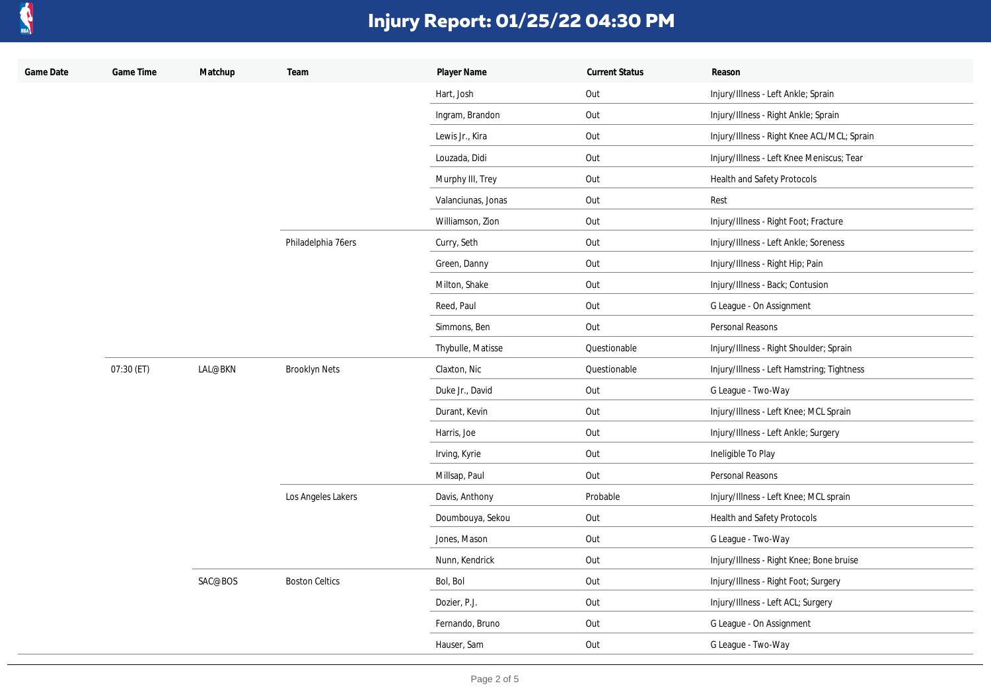

| Game Date | Game Time  | Matchup | Team                  | Player Name        | <b>Current Status</b> | Reason                                      |
|-----------|------------|---------|-----------------------|--------------------|-----------------------|---------------------------------------------|
|           |            |         |                       | Hart, Josh         | Out                   | Injury/Illness - Left Ankle; Sprain         |
|           |            |         |                       | Ingram, Brandon    | Out                   | Injury/Illness - Right Ankle; Sprain        |
|           |            |         |                       | Lewis Jr., Kira    | Out                   | Injury/Illness - Right Knee ACL/MCL; Sprain |
|           |            |         |                       | Louzada, Didi      | Out                   | Injury/Illness - Left Knee Meniscus; Tear   |
|           |            |         |                       | Murphy III, Trey   | Out                   | Health and Safety Protocols                 |
|           |            |         |                       | Valanciunas, Jonas | Out                   | Rest                                        |
|           |            |         |                       | Williamson, Zion   | Out                   | Injury/Illness - Right Foot; Fracture       |
|           |            |         | Philadelphia 76ers    | Curry, Seth        | Out                   | Injury/Illness - Left Ankle; Soreness       |
|           |            |         |                       | Green, Danny       | Out                   | Injury/Illness - Right Hip; Pain            |
|           |            |         |                       | Milton, Shake      | Out                   | Injury/Illness - Back; Contusion            |
|           |            |         |                       | Reed, Paul         | Out                   | G League - On Assignment                    |
|           |            |         |                       | Simmons, Ben       | Out                   | Personal Reasons                            |
|           |            |         |                       | Thybulle, Matisse  | Questionable          | Injury/Illness - Right Shoulder; Sprain     |
|           | 07:30 (ET) | LAL@BKN | <b>Brooklyn Nets</b>  | Claxton, Nic       | Questionable          | Injury/Illness - Left Hamstring; Tightness  |
|           |            |         |                       | Duke Jr., David    | Out                   | G League - Two-Way                          |
|           |            |         |                       | Durant, Kevin      | Out                   | Injury/Illness - Left Knee; MCL Sprain      |
|           |            |         |                       | Harris, Joe        | Out                   | Injury/Illness - Left Ankle; Surgery        |
|           |            |         |                       | Irving, Kyrie      | Out                   | Ineligible To Play                          |
|           |            |         |                       | Millsap, Paul      | Out                   | Personal Reasons                            |
|           |            |         | Los Angeles Lakers    | Davis, Anthony     | Probable              | Injury/Illness - Left Knee; MCL sprain      |
|           |            |         |                       | Doumbouya, Sekou   | Out                   | Health and Safety Protocols                 |
|           |            |         |                       | Jones, Mason       | Out                   | G League - Two-Way                          |
|           |            |         |                       | Nunn, Kendrick     | Out                   | Injury/Illness - Right Knee; Bone bruise    |
|           |            | SAC@BOS | <b>Boston Celtics</b> | Bol, Bol           | Out                   | Injury/Illness - Right Foot; Surgery        |
|           |            |         |                       | Dozier, P.J.       | Out                   | Injury/Illness - Left ACL; Surgery          |
|           |            |         |                       | Fernando, Bruno    | Out                   | G League - On Assignment                    |
|           |            |         |                       | Hauser, Sam        | Out                   | G League - Two-Way                          |
|           |            |         |                       |                    |                       |                                             |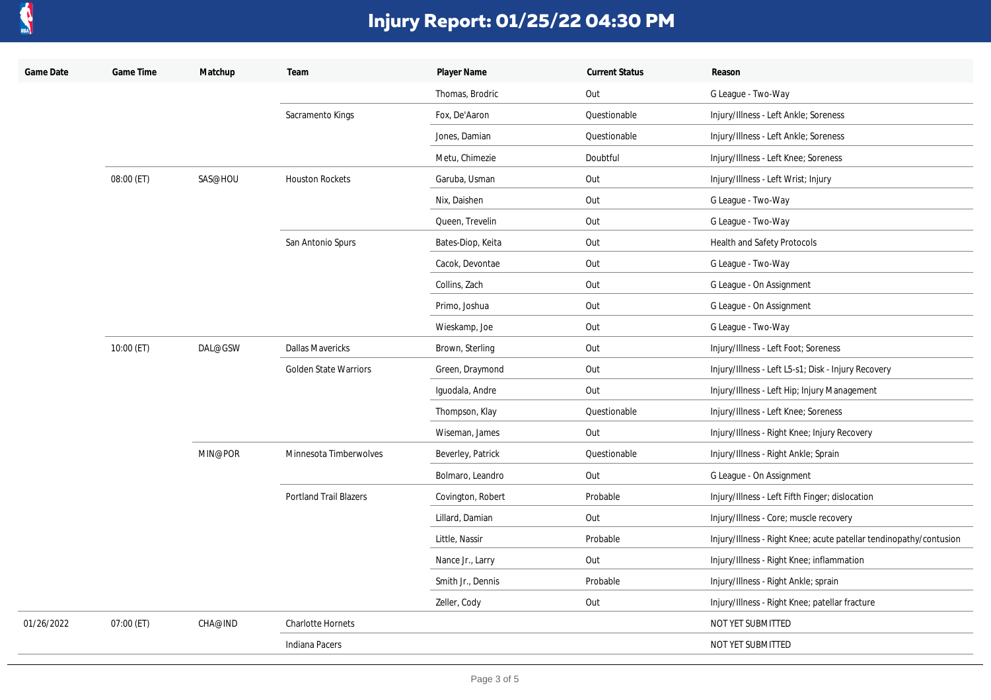

| Game Date  | Game Time  | Matchup | Team                          | Player Name       | <b>Current Status</b> | Reason                                                             |
|------------|------------|---------|-------------------------------|-------------------|-----------------------|--------------------------------------------------------------------|
|            |            |         |                               | Thomas, Brodric   | Out                   | G League - Two-Way                                                 |
|            |            |         | Sacramento Kings              | Fox, De'Aaron     | Questionable          | Injury/Illness - Left Ankle; Soreness                              |
|            |            |         |                               | Jones, Damian     | Questionable          | Injury/Illness - Left Ankle; Soreness                              |
|            |            |         |                               | Metu, Chimezie    | Doubtful              | Injury/Illness - Left Knee; Soreness                               |
|            | 08:00 (ET) | SAS@HOU | <b>Houston Rockets</b>        | Garuba, Usman     | Out                   | Injury/Illness - Left Wrist; Injury                                |
|            |            |         |                               | Nix, Daishen      | Out                   | G League - Two-Way                                                 |
|            |            |         |                               | Queen, Trevelin   | Out                   | G League - Two-Way                                                 |
|            |            |         | San Antonio Spurs             | Bates-Diop, Keita | Out                   | Health and Safety Protocols                                        |
|            |            |         |                               | Cacok, Devontae   | Out                   | G League - Two-Way                                                 |
|            |            |         |                               | Collins, Zach     | Out                   | G League - On Assignment                                           |
|            |            |         |                               | Primo, Joshua     | Out                   | G League - On Assignment                                           |
|            |            |         |                               | Wieskamp, Joe     | Out                   | G League - Two-Way                                                 |
|            | 10:00 (ET) | DAL@GSW | <b>Dallas Mavericks</b>       | Brown, Sterling   | Out                   | Injury/Illness - Left Foot; Soreness                               |
|            |            |         | <b>Golden State Warriors</b>  | Green, Draymond   | Out                   | Injury/Illness - Left L5-s1; Disk - Injury Recovery                |
|            |            |         |                               | Iguodala, Andre   | Out                   | Injury/Illness - Left Hip; Injury Management                       |
|            |            |         |                               | Thompson, Klay    | Questionable          | Injury/Illness - Left Knee; Soreness                               |
|            |            |         |                               | Wiseman, James    | Out                   | Injury/Illness - Right Knee; Injury Recovery                       |
|            |            | MIN@POR | Minnesota Timberwolves        | Beverley, Patrick | Questionable          | Injury/Illness - Right Ankle; Sprain                               |
|            |            |         |                               | Bolmaro, Leandro  | Out                   | G League - On Assignment                                           |
|            |            |         | <b>Portland Trail Blazers</b> | Covington, Robert | Probable              | Injury/Illness - Left Fifth Finger; dislocation                    |
|            |            |         |                               | Lillard, Damian   | Out                   | Injury/Illness - Core; muscle recovery                             |
|            |            |         |                               | Little, Nassir    | Probable              | Injury/Illness - Right Knee; acute patellar tendinopathy/contusion |
|            |            |         |                               | Nance Jr., Larry  | Out                   | Injury/Illness - Right Knee; inflammation                          |
|            |            |         |                               | Smith Jr., Dennis | Probable              | Injury/Illness - Right Ankle; sprain                               |
|            |            |         |                               | Zeller, Cody      | Out                   | Injury/Illness - Right Knee; patellar fracture                     |
| 01/26/2022 | 07:00 (ET) | CHA@IND | <b>Charlotte Hornets</b>      |                   |                       | NOT YET SUBMITTED                                                  |
|            |            |         | <b>Indiana Pacers</b>         |                   |                       | NOT YET SUBMITTED                                                  |
|            |            |         |                               |                   |                       |                                                                    |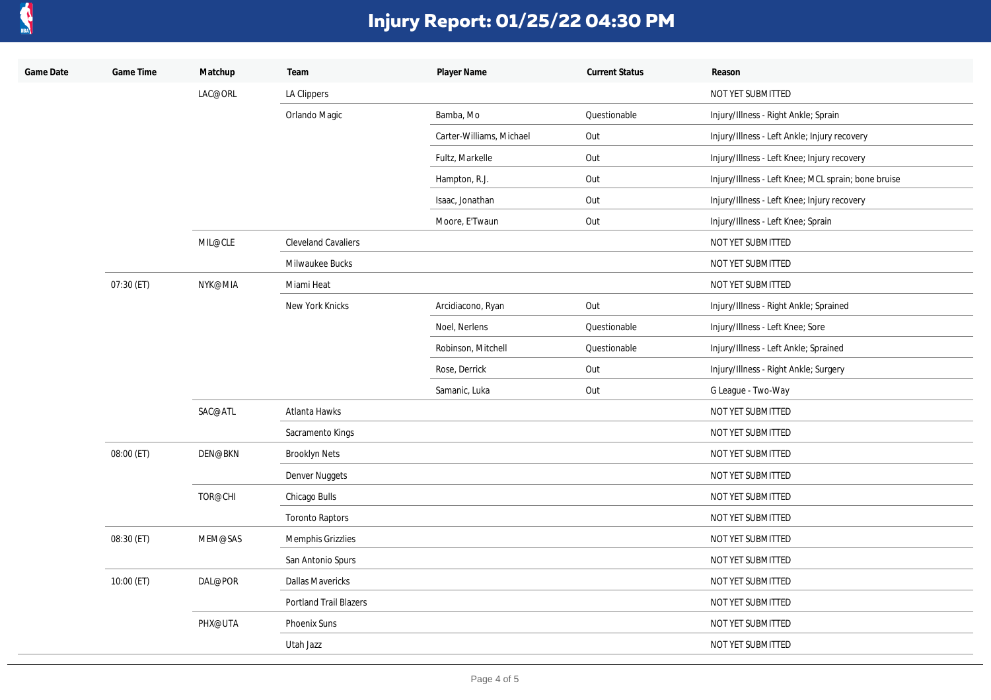

| Game Date | Game Time  | Matchup | Team                          | Player Name              | <b>Current Status</b> | Reason                                              |
|-----------|------------|---------|-------------------------------|--------------------------|-----------------------|-----------------------------------------------------|
|           |            | LAC@ORL | LA Clippers                   |                          |                       | NOT YET SUBMITTED                                   |
|           |            |         | Orlando Magic                 | Bamba, Mo                | Questionable          | Injury/Illness - Right Ankle; Sprain                |
|           |            |         |                               | Carter-Williams, Michael | Out                   | Injury/Illness - Left Ankle; Injury recovery        |
|           |            |         |                               | Fultz, Markelle          | Out                   | Injury/Illness - Left Knee; Injury recovery         |
|           |            |         |                               | Hampton, R.J.            | Out                   | Injury/Illness - Left Knee; MCL sprain; bone bruise |
|           |            |         |                               | Isaac, Jonathan          | Out                   | Injury/Illness - Left Knee; Injury recovery         |
|           |            |         |                               | Moore, E'Twaun           | Out                   | Injury/Illness - Left Knee; Sprain                  |
|           |            | MIL@CLE | <b>Cleveland Cavaliers</b>    |                          |                       | NOT YET SUBMITTED                                   |
|           |            |         | Milwaukee Bucks               |                          |                       | NOT YET SUBMITTED                                   |
|           | 07:30 (ET) | NYK@MIA | Miami Heat                    |                          |                       | NOT YET SUBMITTED                                   |
|           |            |         | New York Knicks               | Arcidiacono, Ryan        | Out                   | Injury/Illness - Right Ankle; Sprained              |
|           |            |         |                               | Noel, Nerlens            | Questionable          | Injury/Illness - Left Knee; Sore                    |
|           |            |         |                               | Robinson, Mitchell       | Questionable          | Injury/Illness - Left Ankle; Sprained               |
|           |            |         |                               | Rose, Derrick            | Out                   | Injury/Illness - Right Ankle; Surgery               |
|           |            |         |                               | Samanic, Luka            | Out                   | G League - Two-Way                                  |
|           |            | SAC@ATL | Atlanta Hawks                 |                          |                       | NOT YET SUBMITTED                                   |
|           |            |         | Sacramento Kings              |                          |                       | NOT YET SUBMITTED                                   |
|           | 08:00 (ET) | DEN@BKN | <b>Brooklyn Nets</b>          |                          |                       | NOT YET SUBMITTED                                   |
|           |            |         | Denver Nuggets                |                          |                       | NOT YET SUBMITTED                                   |
|           |            | TOR@CHI | Chicago Bulls                 |                          |                       | NOT YET SUBMITTED                                   |
|           |            |         | <b>Toronto Raptors</b>        |                          |                       | NOT YET SUBMITTED                                   |
|           | 08:30 (ET) | MEM@SAS | Memphis Grizzlies             |                          |                       | NOT YET SUBMITTED                                   |
|           |            |         | San Antonio Spurs             |                          |                       | NOT YET SUBMITTED                                   |
|           | 10:00 (ET) | DAL@POR | <b>Dallas Mavericks</b>       |                          |                       | NOT YET SUBMITTED                                   |
|           |            |         | <b>Portland Trail Blazers</b> |                          |                       | NOT YET SUBMITTED                                   |
|           |            | PHX@UTA | Phoenix Suns                  |                          |                       | NOT YET SUBMITTED                                   |
|           |            |         | Utah Jazz                     |                          |                       | NOT YET SUBMITTED                                   |
|           |            |         |                               |                          |                       |                                                     |